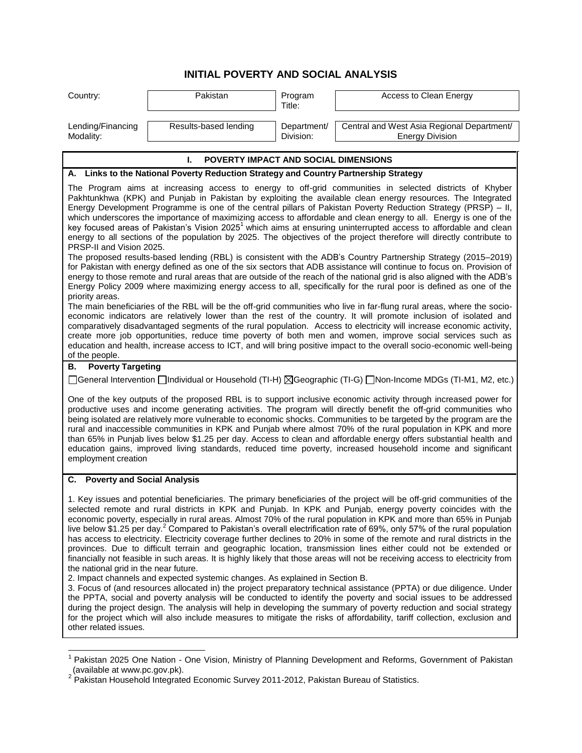## **INITIAL POVERTY AND SOCIAL ANALYSIS**

| Country:                                                                                                                                                                                                                                                                                                                                                                                                                                                                                                                                                                                                                                                                                                                                                                                                                                                                                                                                                                                                      | Pakistan              | Program<br>Title:        | Access to Clean Energy                                               |  |
|---------------------------------------------------------------------------------------------------------------------------------------------------------------------------------------------------------------------------------------------------------------------------------------------------------------------------------------------------------------------------------------------------------------------------------------------------------------------------------------------------------------------------------------------------------------------------------------------------------------------------------------------------------------------------------------------------------------------------------------------------------------------------------------------------------------------------------------------------------------------------------------------------------------------------------------------------------------------------------------------------------------|-----------------------|--------------------------|----------------------------------------------------------------------|--|
| Lending/Financing<br>Modality:                                                                                                                                                                                                                                                                                                                                                                                                                                                                                                                                                                                                                                                                                                                                                                                                                                                                                                                                                                                | Results-based lending | Department/<br>Division: | Central and West Asia Regional Department/<br><b>Energy Division</b> |  |
| POVERTY IMPACT AND SOCIAL DIMENSIONS<br>L.                                                                                                                                                                                                                                                                                                                                                                                                                                                                                                                                                                                                                                                                                                                                                                                                                                                                                                                                                                    |                       |                          |                                                                      |  |
| A. Links to the National Poverty Reduction Strategy and Country Partnership Strategy                                                                                                                                                                                                                                                                                                                                                                                                                                                                                                                                                                                                                                                                                                                                                                                                                                                                                                                          |                       |                          |                                                                      |  |
| The Program aims at increasing access to energy to off-grid communities in selected districts of Khyber<br>Pakhtunkhwa (KPK) and Punjab in Pakistan by exploiting the available clean energy resources. The Integrated<br>Energy Development Programme is one of the central pillars of Pakistan Poverty Reduction Strategy (PRSP) - II,<br>which underscores the importance of maximizing access to affordable and clean energy to all. Energy is one of the<br>key focused areas of Pakistan's Vision 2025 <sup>1</sup> which aims at ensuring uninterrupted access to affordable and clean<br>energy to all sections of the population by 2025. The objectives of the project therefore will directly contribute to<br>PRSP-II and Vision 2025.<br>The proposed results-based lending (RBL) is consistent with the ADB's Country Partnership Strategy (2015–2019)                                                                                                                                          |                       |                          |                                                                      |  |
| for Pakistan with energy defined as one of the six sectors that ADB assistance will continue to focus on. Provision of<br>energy to those remote and rural areas that are outside of the reach of the national grid is also aligned with the ADB's<br>Energy Policy 2009 where maximizing energy access to all, specifically for the rural poor is defined as one of the<br>priority areas.                                                                                                                                                                                                                                                                                                                                                                                                                                                                                                                                                                                                                   |                       |                          |                                                                      |  |
| The main beneficiaries of the RBL will be the off-grid communities who live in far-flung rural areas, where the socio-<br>economic indicators are relatively lower than the rest of the country. It will promote inclusion of isolated and<br>comparatively disadvantaged segments of the rural population. Access to electricity will increase economic activity,<br>create more job opportunities, reduce time poverty of both men and women, improve social services such as<br>education and health, increase access to ICT, and will bring positive impact to the overall socio-economic well-being<br>of the people.                                                                                                                                                                                                                                                                                                                                                                                    |                       |                          |                                                                      |  |
| <b>Poverty Targeting</b><br>В.                                                                                                                                                                                                                                                                                                                                                                                                                                                                                                                                                                                                                                                                                                                                                                                                                                                                                                                                                                                |                       |                          |                                                                      |  |
| [General Intervention □Individual or Household (TI-H) ⊠Geographic (TI-G) □Non-Income MDGs (TI-M1, M2, etc.)                                                                                                                                                                                                                                                                                                                                                                                                                                                                                                                                                                                                                                                                                                                                                                                                                                                                                                   |                       |                          |                                                                      |  |
| One of the key outputs of the proposed RBL is to support inclusive economic activity through increased power for<br>productive uses and income generating activities. The program will directly benefit the off-grid communities who<br>being isolated are relatively more vulnerable to economic shocks. Communities to be targeted by the program are the<br>rural and inaccessible communities in KPK and Punjab where almost 70% of the rural population in KPK and more<br>than 65% in Punjab lives below \$1.25 per day. Access to clean and affordable energy offers substantial health and<br>education gains, improved living standards, reduced time poverty, increased household income and significant<br>employment creation                                                                                                                                                                                                                                                                     |                       |                          |                                                                      |  |
| C. Poverty and Social Analysis                                                                                                                                                                                                                                                                                                                                                                                                                                                                                                                                                                                                                                                                                                                                                                                                                                                                                                                                                                                |                       |                          |                                                                      |  |
| 1. Key issues and potential beneficiaries. The primary beneficiaries of the project will be off-grid communities of the<br>selected remote and rural districts in KPK and Punjab. In KPK and Punjab, energy poverty coincides with the<br>economic poverty, especially in rural areas. Almost 70% of the rural population in KPK and more than 65% in Punjab<br>live below \$1.25 per day. <sup>2</sup> Compared to Pakistan's overall electrification rate of 69%, only 57% of the rural population<br>has access to electricity. Electricity coverage further declines to 20% in some of the remote and rural districts in the<br>provinces. Due to difficult terrain and geographic location, transmission lines either could not be extended or<br>financially not feasible in such areas. It is highly likely that those areas will not be receiving access to electricity from<br>the national grid in the near future.<br>2. Impact channels and expected systemic changes. As explained in Section B. |                       |                          |                                                                      |  |
| 3. Focus of (and resources allocated in) the project preparatory technical assistance (PPTA) or due diligence. Under<br>the PPTA, social and poverty analysis will be conducted to identify the poverty and social issues to be addressed<br>during the project design. The analysis will help in developing the summary of poverty reduction and social strategy<br>for the project which will also include measures to mitigate the risks of affordability, tariff collection, exclusion and<br>other related issues.                                                                                                                                                                                                                                                                                                                                                                                                                                                                                       |                       |                          |                                                                      |  |

<sup>&</sup>lt;u>nessen and the mand of the mode of the mate of the mate of the mate of the mate of the mate of the mate of the </u><br>In Pakistan 2025 One Nation - One Vision, Ministry of Planning Development and Reforms, Government of Pakist

<sup>(</sup>available at www.pc.gov.pk).<br><sup>2</sup> Pakistan Household Integrated Economic Survey 2011-2012, Pakistan Bureau of Statistics.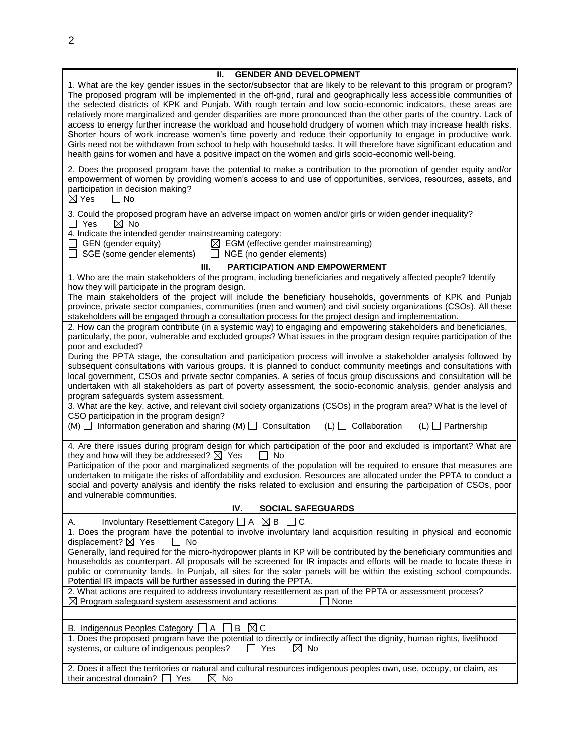| <b>GENDER AND DEVELOPMENT</b><br>Ш.<br>1. What are the key gender issues in the sector/subsector that are likely to be relevant to this program or program?<br>The proposed program will be implemented in the off-grid, rural and geographically less accessible communities of<br>the selected districts of KPK and Punjab. With rough terrain and low socio-economic indicators, these areas are<br>relatively more marginalized and gender disparities are more pronounced than the other parts of the country. Lack of<br>access to energy further increase the workload and household drudgery of women which may increase health risks.<br>Shorter hours of work increase women's time poverty and reduce their opportunity to engage in productive work.<br>Girls need not be withdrawn from school to help with household tasks. It will therefore have significant education and<br>health gains for women and have a positive impact on the women and girls socio-economic well-being.                                                                                                                                                                                                                                                                                                                                                                                                                                                                                                                                                                                                                                                                                                                                                                                                                                                                                                                                                                                                                                                                                                                                                                                        |  |  |  |
|------------------------------------------------------------------------------------------------------------------------------------------------------------------------------------------------------------------------------------------------------------------------------------------------------------------------------------------------------------------------------------------------------------------------------------------------------------------------------------------------------------------------------------------------------------------------------------------------------------------------------------------------------------------------------------------------------------------------------------------------------------------------------------------------------------------------------------------------------------------------------------------------------------------------------------------------------------------------------------------------------------------------------------------------------------------------------------------------------------------------------------------------------------------------------------------------------------------------------------------------------------------------------------------------------------------------------------------------------------------------------------------------------------------------------------------------------------------------------------------------------------------------------------------------------------------------------------------------------------------------------------------------------------------------------------------------------------------------------------------------------------------------------------------------------------------------------------------------------------------------------------------------------------------------------------------------------------------------------------------------------------------------------------------------------------------------------------------------------------------------------------------------------------------------------------------|--|--|--|
| 2. Does the proposed program have the potential to make a contribution to the promotion of gender equity and/or<br>empowerment of women by providing women's access to and use of opportunities, services, resources, assets, and<br>participation in decision making?<br>$\boxtimes$ Yes<br>$\Box$ No                                                                                                                                                                                                                                                                                                                                                                                                                                                                                                                                                                                                                                                                                                                                                                                                                                                                                                                                                                                                                                                                                                                                                                                                                                                                                                                                                                                                                                                                                                                                                                                                                                                                                                                                                                                                                                                                                   |  |  |  |
| 3. Could the proposed program have an adverse impact on women and/or girls or widen gender inequality?<br>$\boxtimes$ No<br>$\Box$ Yes<br>4. Indicate the intended gender mainstreaming category:<br>GEN (gender equity)<br>$\boxtimes$ EGM (effective gender mainstreaming)<br>SGE (some gender elements)<br>NGE (no gender elements)                                                                                                                                                                                                                                                                                                                                                                                                                                                                                                                                                                                                                                                                                                                                                                                                                                                                                                                                                                                                                                                                                                                                                                                                                                                                                                                                                                                                                                                                                                                                                                                                                                                                                                                                                                                                                                                   |  |  |  |
| Ш.<br><b>PARTICIPATION AND EMPOWERMENT</b>                                                                                                                                                                                                                                                                                                                                                                                                                                                                                                                                                                                                                                                                                                                                                                                                                                                                                                                                                                                                                                                                                                                                                                                                                                                                                                                                                                                                                                                                                                                                                                                                                                                                                                                                                                                                                                                                                                                                                                                                                                                                                                                                               |  |  |  |
| 1. Who are the main stakeholders of the program, including beneficiaries and negatively affected people? Identify<br>how they will participate in the program design.<br>The main stakeholders of the project will include the beneficiary households, governments of KPK and Punjab<br>province, private sector companies, communities (men and women) and civil society organizations (CSOs). All these<br>stakeholders will be engaged through a consultation process for the project design and implementation.<br>2. How can the program contribute (in a systemic way) to engaging and empowering stakeholders and beneficiaries,<br>particularly, the poor, vulnerable and excluded groups? What issues in the program design require participation of the<br>poor and excluded?<br>During the PPTA stage, the consultation and participation process will involve a stakeholder analysis followed by<br>subsequent consultations with various groups. It is planned to conduct community meetings and consultations with<br>local government, CSOs and private sector companies. A series of focus group discussions and consultation will be<br>undertaken with all stakeholders as part of poverty assessment, the socio-economic analysis, gender analysis and<br>program safeguards system assessment.<br>3. What are the key, active, and relevant civil society organizations (CSOs) in the program area? What is the level of<br>CSO participation in the program design?<br>$(M)$ $\Box$ Information generation and sharing (M) $\Box$ Consultation<br>$(L)$ $\Box$ Collaboration<br>$(L)$ $\Box$ Partnership<br>4. Are there issues during program design for which participation of the poor and excluded is important? What are<br>they and how will they be addressed? $\boxtimes$ Yes<br>∣ No<br>Participation of the poor and marginalized segments of the population will be required to ensure that measures are<br>undertaken to mitigate the risks of affordability and exclusion. Resources are allocated under the PPTA to conduct a<br>social and poverty analysis and identify the risks related to exclusion and ensuring the participation of CSOs, poor |  |  |  |
| and vulnerable communities.                                                                                                                                                                                                                                                                                                                                                                                                                                                                                                                                                                                                                                                                                                                                                                                                                                                                                                                                                                                                                                                                                                                                                                                                                                                                                                                                                                                                                                                                                                                                                                                                                                                                                                                                                                                                                                                                                                                                                                                                                                                                                                                                                              |  |  |  |
| IV.<br><b>SOCIAL SAFEGUARDS</b>                                                                                                                                                                                                                                                                                                                                                                                                                                                                                                                                                                                                                                                                                                                                                                                                                                                                                                                                                                                                                                                                                                                                                                                                                                                                                                                                                                                                                                                                                                                                                                                                                                                                                                                                                                                                                                                                                                                                                                                                                                                                                                                                                          |  |  |  |
| Involuntary Resettlement Category $\Box A \boxtimes B$<br>Α.<br>$\sqcup$ C<br>1. Does the program have the potential to involve involuntary land acquisition resulting in physical and economic<br>displacement? $\boxtimes$ Yes<br>T No<br>Generally, land required for the micro-hydropower plants in KP will be contributed by the beneficiary communities and<br>households as counterpart. All proposals will be screened for IR impacts and efforts will be made to locate these in<br>public or community lands. In Punjab, all sites for the solar panels will be within the existing school compounds.<br>Potential IR impacts will be further assessed in during the PPTA.<br>2. What actions are required to address involuntary resettlement as part of the PPTA or assessment process?<br>$\boxtimes$ Program safeguard system assessment and actions<br>None                                                                                                                                                                                                                                                                                                                                                                                                                                                                                                                                                                                                                                                                                                                                                                                                                                                                                                                                                                                                                                                                                                                                                                                                                                                                                                               |  |  |  |
|                                                                                                                                                                                                                                                                                                                                                                                                                                                                                                                                                                                                                                                                                                                                                                                                                                                                                                                                                                                                                                                                                                                                                                                                                                                                                                                                                                                                                                                                                                                                                                                                                                                                                                                                                                                                                                                                                                                                                                                                                                                                                                                                                                                          |  |  |  |
| $\boxtimes$ C<br>B. Indigenous Peoples Category $\Box A$<br>B<br>1. Does the proposed program have the potential to directly or indirectly affect the dignity, human rights, livelihood<br>$\boxtimes$ No<br>systems, or culture of indigenous peoples?<br>$\Box$ Yes                                                                                                                                                                                                                                                                                                                                                                                                                                                                                                                                                                                                                                                                                                                                                                                                                                                                                                                                                                                                                                                                                                                                                                                                                                                                                                                                                                                                                                                                                                                                                                                                                                                                                                                                                                                                                                                                                                                    |  |  |  |
| 2. Does it affect the territories or natural and cultural resources indigenous peoples own, use, occupy, or claim, as<br>their ancestral domain? D<br>$\boxtimes$ No<br>Yes                                                                                                                                                                                                                                                                                                                                                                                                                                                                                                                                                                                                                                                                                                                                                                                                                                                                                                                                                                                                                                                                                                                                                                                                                                                                                                                                                                                                                                                                                                                                                                                                                                                                                                                                                                                                                                                                                                                                                                                                              |  |  |  |